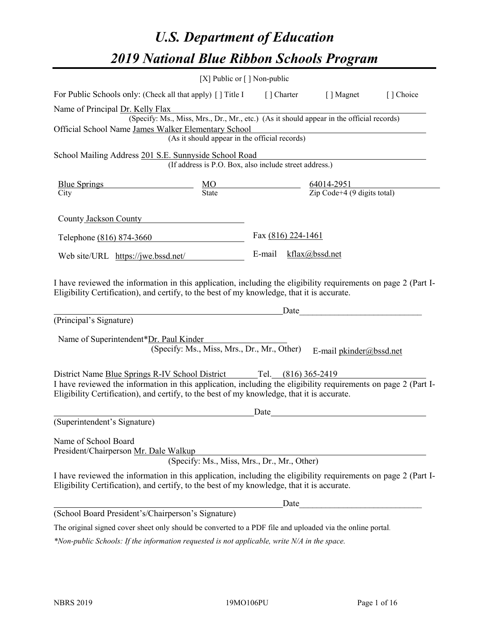# *U.S. Department of Education 2019 National Blue Ribbon Schools Program*

|                                                                                                                                                                                                                                                                                     | [X] Public or $\lceil$ ] Non-public                    |                    |                                                                                          |           |
|-------------------------------------------------------------------------------------------------------------------------------------------------------------------------------------------------------------------------------------------------------------------------------------|--------------------------------------------------------|--------------------|------------------------------------------------------------------------------------------|-----------|
| For Public Schools only: (Check all that apply) [] Title I [] Charter [] Magnet                                                                                                                                                                                                     |                                                        |                    |                                                                                          | [] Choice |
| Name of Principal Dr. Kelly Flax                                                                                                                                                                                                                                                    |                                                        |                    |                                                                                          |           |
|                                                                                                                                                                                                                                                                                     |                                                        |                    | (Specify: Ms., Miss, Mrs., Dr., Mr., etc.) (As it should appear in the official records) |           |
| Official School Name James Walker Elementary School                                                                                                                                                                                                                                 | (As it should appear in the official records)          |                    |                                                                                          |           |
|                                                                                                                                                                                                                                                                                     |                                                        |                    |                                                                                          |           |
| School Mailing Address 201 S.E. Sunnyside School Road                                                                                                                                                                                                                               | (If address is P.O. Box, also include street address.) |                    |                                                                                          |           |
| $\frac{\text{Blue Springs}}{\text{City}}$ $\frac{\text{MO}}{\text{State}}$ $\frac{64014-2951}{\text{Zip Code}+4 (9 digits total)}$                                                                                                                                                  |                                                        |                    |                                                                                          |           |
|                                                                                                                                                                                                                                                                                     |                                                        |                    |                                                                                          |           |
| County Jackson County                                                                                                                                                                                                                                                               |                                                        |                    |                                                                                          |           |
| Telephone (816) 874-3660                                                                                                                                                                                                                                                            |                                                        | Fax (816) 224-1461 |                                                                                          |           |
| Web site/URL https://jwe.bssd.net/                                                                                                                                                                                                                                                  |                                                        |                    | E-mail kflax@bssd.net                                                                    |           |
| (Principal's Signature)<br>Name of Superintendent*Dr. Paul Kinder                                                                                                                                                                                                                   | (Specify: Ms., Miss, Mrs., Dr., Mr., Other)            |                    | Date<br>E-mail pkinder@bssd.net                                                          |           |
|                                                                                                                                                                                                                                                                                     |                                                        |                    |                                                                                          |           |
| District Name Blue Springs R-IV School District Tel. (816) 365-2419<br>I have reviewed the information in this application, including the eligibility requirements on page 2 (Part I-<br>Eligibility Certification), and certify, to the best of my knowledge, that it is accurate. |                                                        |                    |                                                                                          |           |
|                                                                                                                                                                                                                                                                                     |                                                        | Date               |                                                                                          |           |
| (Superintendent's Signature)                                                                                                                                                                                                                                                        |                                                        |                    |                                                                                          |           |
| Name of School Board<br>President/Chairperson Mr. Dale Walkup                                                                                                                                                                                                                       | (Specify: Ms., Miss, Mrs., Dr., Mr., Other)            |                    |                                                                                          |           |
| I have reviewed the information in this application, including the eligibility requirements on page 2 (Part I-<br>Eligibility Certification), and certify, to the best of my knowledge, that it is accurate.                                                                        |                                                        |                    |                                                                                          |           |
|                                                                                                                                                                                                                                                                                     |                                                        |                    |                                                                                          |           |
| (School Board President's/Chairperson's Signature)                                                                                                                                                                                                                                  |                                                        |                    |                                                                                          |           |
| The original signed cover sheet only should be converted to a PDF file and uploaded via the online portal.                                                                                                                                                                          |                                                        |                    |                                                                                          |           |

*\*Non-public Schools: If the information requested is not applicable, write N/A in the space.*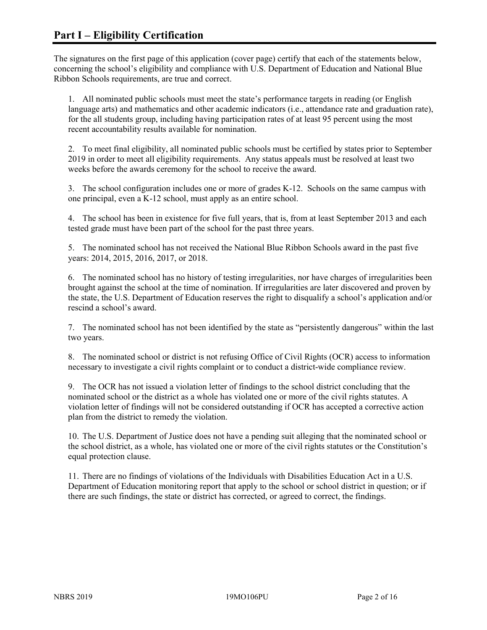The signatures on the first page of this application (cover page) certify that each of the statements below, concerning the school's eligibility and compliance with U.S. Department of Education and National Blue Ribbon Schools requirements, are true and correct.

1. All nominated public schools must meet the state's performance targets in reading (or English language arts) and mathematics and other academic indicators (i.e., attendance rate and graduation rate), for the all students group, including having participation rates of at least 95 percent using the most recent accountability results available for nomination.

2. To meet final eligibility, all nominated public schools must be certified by states prior to September 2019 in order to meet all eligibility requirements. Any status appeals must be resolved at least two weeks before the awards ceremony for the school to receive the award.

3. The school configuration includes one or more of grades K-12. Schools on the same campus with one principal, even a K-12 school, must apply as an entire school.

4. The school has been in existence for five full years, that is, from at least September 2013 and each tested grade must have been part of the school for the past three years.

5. The nominated school has not received the National Blue Ribbon Schools award in the past five years: 2014, 2015, 2016, 2017, or 2018.

6. The nominated school has no history of testing irregularities, nor have charges of irregularities been brought against the school at the time of nomination. If irregularities are later discovered and proven by the state, the U.S. Department of Education reserves the right to disqualify a school's application and/or rescind a school's award.

7. The nominated school has not been identified by the state as "persistently dangerous" within the last two years.

8. The nominated school or district is not refusing Office of Civil Rights (OCR) access to information necessary to investigate a civil rights complaint or to conduct a district-wide compliance review.

9. The OCR has not issued a violation letter of findings to the school district concluding that the nominated school or the district as a whole has violated one or more of the civil rights statutes. A violation letter of findings will not be considered outstanding if OCR has accepted a corrective action plan from the district to remedy the violation.

10. The U.S. Department of Justice does not have a pending suit alleging that the nominated school or the school district, as a whole, has violated one or more of the civil rights statutes or the Constitution's equal protection clause.

11. There are no findings of violations of the Individuals with Disabilities Education Act in a U.S. Department of Education monitoring report that apply to the school or school district in question; or if there are such findings, the state or district has corrected, or agreed to correct, the findings.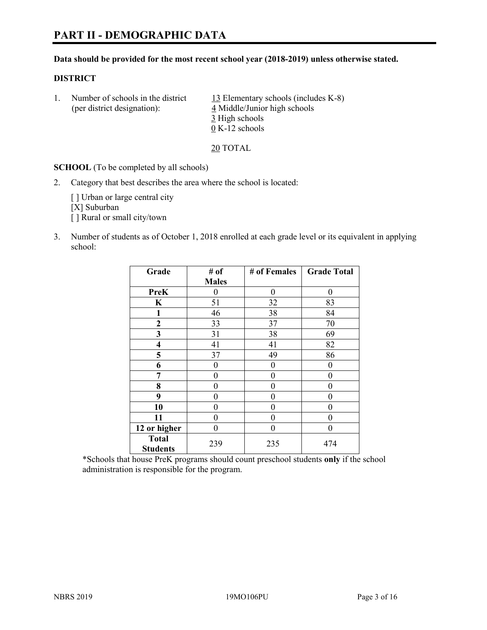#### **Data should be provided for the most recent school year (2018-2019) unless otherwise stated.**

#### **DISTRICT**

1. Number of schools in the district  $13$  Elementary schools (includes K-8) (per district designation): 4 Middle/Junior high schools 3 High schools 0 K-12 schools

20 TOTAL

**SCHOOL** (To be completed by all schools)

2. Category that best describes the area where the school is located:

[ ] Urban or large central city [X] Suburban [] Rural or small city/town

3. Number of students as of October 1, 2018 enrolled at each grade level or its equivalent in applying school:

| Grade                   | # of         | # of Females | <b>Grade Total</b> |
|-------------------------|--------------|--------------|--------------------|
|                         | <b>Males</b> |              |                    |
| <b>PreK</b>             | 0            | $\theta$     | 0                  |
| $\mathbf K$             | 51           | 32           | 83                 |
| 1                       | 46           | 38           | 84                 |
| 2                       | 33           | 37           | 70                 |
| 3                       | 31           | 38           | 69                 |
| $\overline{\mathbf{4}}$ | 41           | 41           | 82                 |
| 5                       | 37           | 49           | 86                 |
| 6                       | 0            | $\theta$     | 0                  |
| 7                       | 0            | $\theta$     | 0                  |
| 8                       | 0            | 0            | 0                  |
| 9                       | 0            | $\theta$     | 0                  |
| 10                      | 0            | 0            | 0                  |
| 11                      | $\theta$     | 0            | 0                  |
| 12 or higher            | 0            | 0            | 0                  |
| <b>Total</b>            | 239          | 235          | 474                |
| <b>Students</b>         |              |              |                    |

\*Schools that house PreK programs should count preschool students **only** if the school administration is responsible for the program.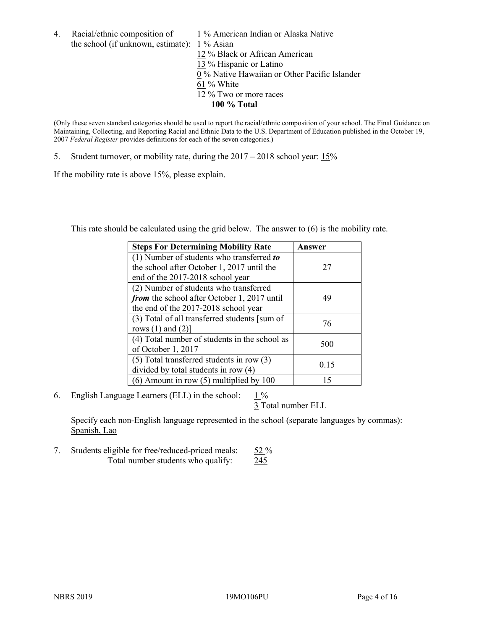4. Racial/ethnic composition of  $1\%$  American Indian or Alaska Native the school (if unknown, estimate): 1 % Asian 12 % Black or African American 13 % Hispanic or Latino 0 % Native Hawaiian or Other Pacific Islander 61 % White 12 % Two or more races **100 % Total**

(Only these seven standard categories should be used to report the racial/ethnic composition of your school. The Final Guidance on Maintaining, Collecting, and Reporting Racial and Ethnic Data to the U.S. Department of Education published in the October 19, 2007 *Federal Register* provides definitions for each of the seven categories.)

5. Student turnover, or mobility rate, during the 2017 – 2018 school year: 15%

If the mobility rate is above 15%, please explain.

This rate should be calculated using the grid below. The answer to (6) is the mobility rate.

| <b>Steps For Determining Mobility Rate</b>    | Answer |
|-----------------------------------------------|--------|
| (1) Number of students who transferred to     |        |
| the school after October 1, 2017 until the    | 27     |
| end of the 2017-2018 school year              |        |
| (2) Number of students who transferred        |        |
| from the school after October 1, 2017 until   | 49     |
| the end of the 2017-2018 school year          |        |
| (3) Total of all transferred students [sum of | 76     |
| rows $(1)$ and $(2)$ ]                        |        |
| (4) Total number of students in the school as |        |
| of October 1, 2017                            | 500    |
| $(5)$ Total transferred students in row $(3)$ |        |
| divided by total students in row (4)          | 0.15   |
| $(6)$ Amount in row $(5)$ multiplied by 100   | 15     |

6. English Language Learners (ELL) in the school:  $1\%$ 

3 Total number ELL

Specify each non-English language represented in the school (separate languages by commas): Spanish, Lao

7. Students eligible for free/reduced-priced meals: 52 % Total number students who qualify: 245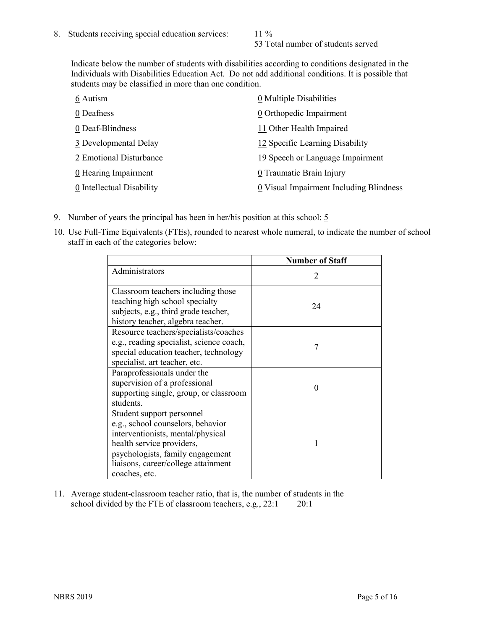53 Total number of students served

Indicate below the number of students with disabilities according to conditions designated in the Individuals with Disabilities Education Act. Do not add additional conditions. It is possible that students may be classified in more than one condition.

| 6 Autism                  | 0 Multiple Disabilities                 |
|---------------------------|-----------------------------------------|
| 0 Deafness                | 0 Orthopedic Impairment                 |
| 0 Deaf-Blindness          | 11 Other Health Impaired                |
| 3 Developmental Delay     | 12 Specific Learning Disability         |
| 2 Emotional Disturbance   | 19 Speech or Language Impairment        |
| 0 Hearing Impairment      | 0 Traumatic Brain Injury                |
| 0 Intellectual Disability | 0 Visual Impairment Including Blindness |

- 9. Number of years the principal has been in her/his position at this school:  $5$
- 10. Use Full-Time Equivalents (FTEs), rounded to nearest whole numeral, to indicate the number of school staff in each of the categories below:

|                                                                                                                                                                                                                              | <b>Number of Staff</b> |
|------------------------------------------------------------------------------------------------------------------------------------------------------------------------------------------------------------------------------|------------------------|
| Administrators                                                                                                                                                                                                               |                        |
| Classroom teachers including those<br>teaching high school specialty<br>subjects, e.g., third grade teacher,<br>history teacher, algebra teacher.                                                                            | 24                     |
| Resource teachers/specialists/coaches<br>e.g., reading specialist, science coach,<br>special education teacher, technology<br>specialist, art teacher, etc.                                                                  | 7                      |
| Paraprofessionals under the<br>supervision of a professional<br>supporting single, group, or classroom<br>students.                                                                                                          | 0                      |
| Student support personnel<br>e.g., school counselors, behavior<br>interventionists, mental/physical<br>health service providers,<br>psychologists, family engagement<br>liaisons, career/college attainment<br>coaches, etc. |                        |

11. Average student-classroom teacher ratio, that is, the number of students in the school divided by the FTE of classroom teachers, e.g.,  $22:1$  20:1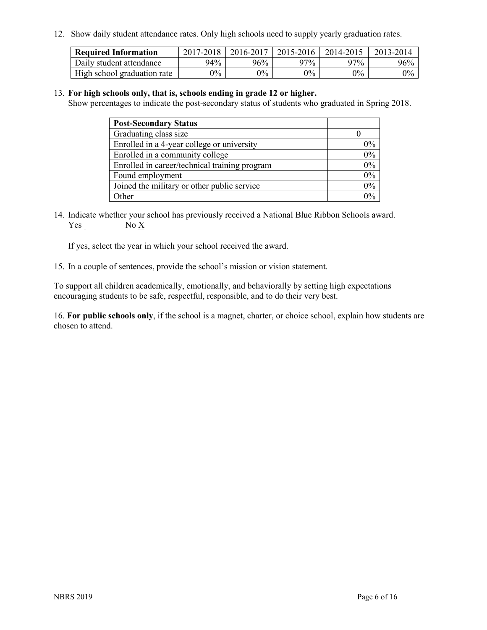12. Show daily student attendance rates. Only high schools need to supply yearly graduation rates.

| <b>Required Information</b> | 2017-2018 | 2016-2017 | 2015-2016 | 2014-2015 | 2013-2014 |
|-----------------------------|-----------|-----------|-----------|-----------|-----------|
| Daily student attendance    | 94%       | 96%       | 97%       | 97%       | 96%       |
| High school graduation rate | $0\%$     | $0\%$     | $0\%$     | $9\%$     | $0\%$     |

#### 13. **For high schools only, that is, schools ending in grade 12 or higher.**

Show percentages to indicate the post-secondary status of students who graduated in Spring 2018.

| <b>Post-Secondary Status</b>                  |       |
|-----------------------------------------------|-------|
| Graduating class size                         |       |
| Enrolled in a 4-year college or university    | $0\%$ |
| Enrolled in a community college               | 0%    |
| Enrolled in career/technical training program | 0%    |
| Found employment                              | 0%    |
| Joined the military or other public service   | 0%    |
| Other                                         | በ‰    |

14. Indicate whether your school has previously received a National Blue Ribbon Schools award. Yes No X

If yes, select the year in which your school received the award.

15. In a couple of sentences, provide the school's mission or vision statement.

To support all children academically, emotionally, and behaviorally by setting high expectations encouraging students to be safe, respectful, responsible, and to do their very best.

16. **For public schools only**, if the school is a magnet, charter, or choice school, explain how students are chosen to attend.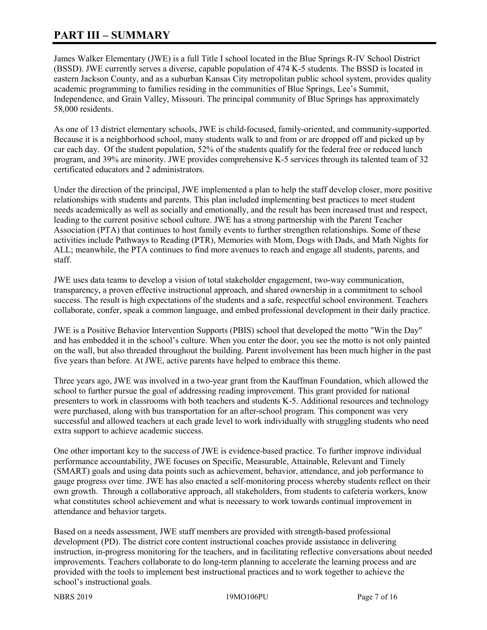# **PART III – SUMMARY**

James Walker Elementary (JWE) is a full Title I school located in the Blue Springs R-IV School District (BSSD). JWE currently serves a diverse, capable population of 474 K-5 students. The BSSD is located in eastern Jackson County, and as a suburban Kansas City metropolitan public school system, provides quality academic programming to families residing in the communities of Blue Springs, Lee's Summit, Independence, and Grain Valley, Missouri. The principal community of Blue Springs has approximately 58,000 residents.

As one of 13 district elementary schools, JWE is child-focused, family-oriented, and community-supported. Because it is a neighborhood school, many students walk to and from or are dropped off and picked up by car each day. Of the student population, 52% of the students qualify for the federal free or reduced lunch program, and 39% are minority. JWE provides comprehensive K-5 services through its talented team of 32 certificated educators and 2 administrators.

Under the direction of the principal, JWE implemented a plan to help the staff develop closer, more positive relationships with students and parents. This plan included implementing best practices to meet student needs academically as well as socially and emotionally, and the result has been increased trust and respect, leading to the current positive school culture. JWE has a strong partnership with the Parent Teacher Association (PTA) that continues to host family events to further strengthen relationships. Some of these activities include Pathways to Reading (PTR), Memories with Mom, Dogs with Dads, and Math Nights for ALL; meanwhile, the PTA continues to find more avenues to reach and engage all students, parents, and staff.

JWE uses data teams to develop a vision of total stakeholder engagement, two-way communication, transparency, a proven effective instructional approach, and shared ownership in a commitment to school success. The result is high expectations of the students and a safe, respectful school environment. Teachers collaborate, confer, speak a common language, and embed professional development in their daily practice.

JWE is a Positive Behavior Intervention Supports (PBIS) school that developed the motto "Win the Day" and has embedded it in the school's culture. When you enter the door, you see the motto is not only painted on the wall, but also threaded throughout the building. Parent involvement has been much higher in the past five years than before. At JWE, active parents have helped to embrace this theme.

Three years ago, JWE was involved in a two-year grant from the Kauffman Foundation, which allowed the school to further pursue the goal of addressing reading improvement. This grant provided for national presenters to work in classrooms with both teachers and students K-5. Additional resources and technology were purchased, along with bus transportation for an after-school program. This component was very successful and allowed teachers at each grade level to work individually with struggling students who need extra support to achieve academic success.

One other important key to the success of JWE is evidence-based practice. To further improve individual performance accountability, JWE focuses on Specific, Measurable, Attainable, Relevant and Timely (SMART) goals and using data points such as achievement, behavior, attendance, and job performance to gauge progress over time. JWE has also enacted a self-monitoring process whereby students reflect on their own growth. Through a collaborative approach, all stakeholders, from students to cafeteria workers, know what constitutes school achievement and what is necessary to work towards continual improvement in attendance and behavior targets.

Based on a needs assessment, JWE staff members are provided with strength-based professional development (PD). The district core content instructional coaches provide assistance in delivering instruction, in-progress monitoring for the teachers, and in facilitating reflective conversations about needed improvements. Teachers collaborate to do long-term planning to accelerate the learning process and are provided with the tools to implement best instructional practices and to work together to achieve the school's instructional goals.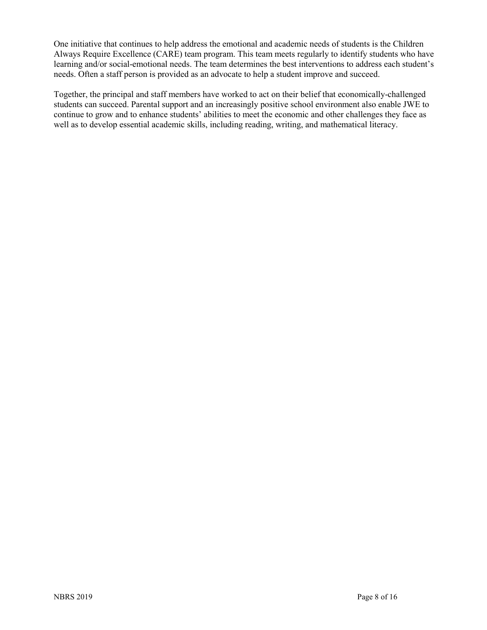One initiative that continues to help address the emotional and academic needs of students is the Children Always Require Excellence (CARE) team program. This team meets regularly to identify students who have learning and/or social-emotional needs. The team determines the best interventions to address each student's needs. Often a staff person is provided as an advocate to help a student improve and succeed.

Together, the principal and staff members have worked to act on their belief that economically-challenged students can succeed. Parental support and an increasingly positive school environment also enable JWE to continue to grow and to enhance students' abilities to meet the economic and other challenges they face as well as to develop essential academic skills, including reading, writing, and mathematical literacy.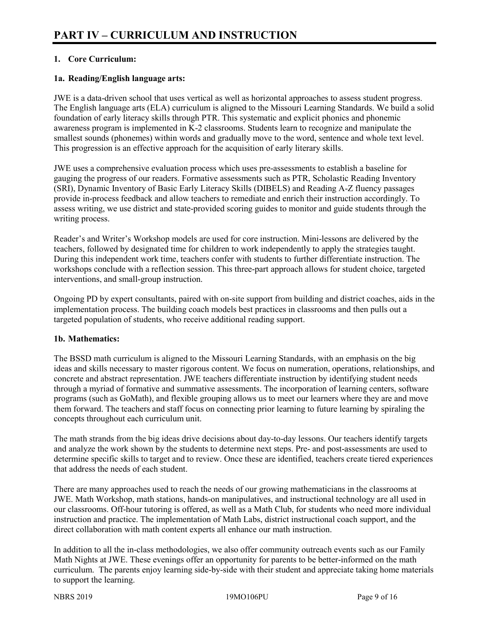# **1. Core Curriculum:**

## **1a. Reading/English language arts:**

JWE is a data-driven school that uses vertical as well as horizontal approaches to assess student progress. The English language arts (ELA) curriculum is aligned to the Missouri Learning Standards. We build a solid foundation of early literacy skills through PTR. This systematic and explicit phonics and phonemic awareness program is implemented in K-2 classrooms. Students learn to recognize and manipulate the smallest sounds (phonemes) within words and gradually move to the word, sentence and whole text level. This progression is an effective approach for the acquisition of early literary skills.

JWE uses a comprehensive evaluation process which uses pre-assessments to establish a baseline for gauging the progress of our readers. Formative assessments such as PTR, Scholastic Reading Inventory (SRI), Dynamic Inventory of Basic Early Literacy Skills (DIBELS) and Reading A-Z fluency passages provide in-process feedback and allow teachers to remediate and enrich their instruction accordingly. To assess writing, we use district and state-provided scoring guides to monitor and guide students through the writing process.

Reader's and Writer's Workshop models are used for core instruction. Mini-lessons are delivered by the teachers, followed by designated time for children to work independently to apply the strategies taught. During this independent work time, teachers confer with students to further differentiate instruction. The workshops conclude with a reflection session. This three-part approach allows for student choice, targeted interventions, and small-group instruction.

Ongoing PD by expert consultants, paired with on-site support from building and district coaches, aids in the implementation process. The building coach models best practices in classrooms and then pulls out a targeted population of students, who receive additional reading support.

#### **1b. Mathematics:**

The BSSD math curriculum is aligned to the Missouri Learning Standards, with an emphasis on the big ideas and skills necessary to master rigorous content. We focus on numeration, operations, relationships, and concrete and abstract representation. JWE teachers differentiate instruction by identifying student needs through a myriad of formative and summative assessments. The incorporation of learning centers, software programs (such as GoMath), and flexible grouping allows us to meet our learners where they are and move them forward. The teachers and staff focus on connecting prior learning to future learning by spiraling the concepts throughout each curriculum unit.

The math strands from the big ideas drive decisions about day-to-day lessons. Our teachers identify targets and analyze the work shown by the students to determine next steps. Pre- and post-assessments are used to determine specific skills to target and to review. Once these are identified, teachers create tiered experiences that address the needs of each student.

There are many approaches used to reach the needs of our growing mathematicians in the classrooms at JWE. Math Workshop, math stations, hands-on manipulatives, and instructional technology are all used in our classrooms. Off-hour tutoring is offered, as well as a Math Club, for students who need more individual instruction and practice. The implementation of Math Labs, district instructional coach support, and the direct collaboration with math content experts all enhance our math instruction.

In addition to all the in-class methodologies, we also offer community outreach events such as our Family Math Nights at JWE. These evenings offer an opportunity for parents to be better-informed on the math curriculum. The parents enjoy learning side-by-side with their student and appreciate taking home materials to support the learning.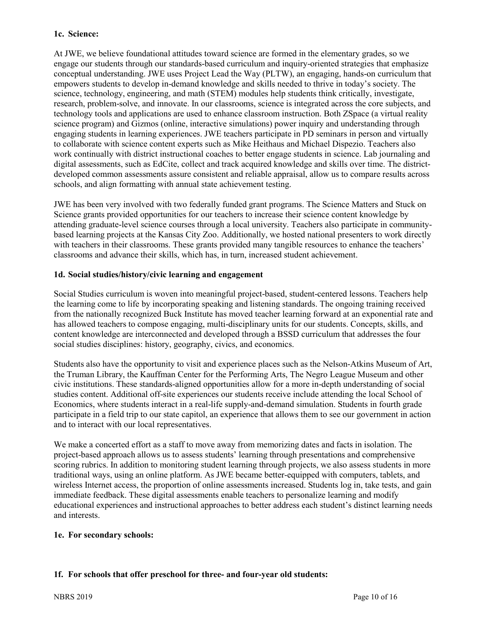#### **1c. Science:**

At JWE, we believe foundational attitudes toward science are formed in the elementary grades, so we engage our students through our standards-based curriculum and inquiry-oriented strategies that emphasize conceptual understanding. JWE uses Project Lead the Way (PLTW), an engaging, hands-on curriculum that empowers students to develop in-demand knowledge and skills needed to thrive in today's society. The science, technology, engineering, and math (STEM) modules help students think critically, investigate, research, problem-solve, and innovate. In our classrooms, science is integrated across the core subjects, and technology tools and applications are used to enhance classroom instruction. Both ZSpace (a virtual reality science program) and Gizmos (online, interactive simulations) power inquiry and understanding through engaging students in learning experiences. JWE teachers participate in PD seminars in person and virtually to collaborate with science content experts such as Mike Heithaus and Michael Dispezio. Teachers also work continually with district instructional coaches to better engage students in science. Lab journaling and digital assessments, such as EdCite, collect and track acquired knowledge and skills over time. The districtdeveloped common assessments assure consistent and reliable appraisal, allow us to compare results across schools, and align formatting with annual state achievement testing.

JWE has been very involved with two federally funded grant programs. The Science Matters and Stuck on Science grants provided opportunities for our teachers to increase their science content knowledge by attending graduate-level science courses through a local university. Teachers also participate in communitybased learning projects at the Kansas City Zoo. Additionally, we hosted national presenters to work directly with teachers in their classrooms. These grants provided many tangible resources to enhance the teachers' classrooms and advance their skills, which has, in turn, increased student achievement.

#### **1d. Social studies/history/civic learning and engagement**

Social Studies curriculum is woven into meaningful project-based, student-centered lessons. Teachers help the learning come to life by incorporating speaking and listening standards. The ongoing training received from the nationally recognized Buck Institute has moved teacher learning forward at an exponential rate and has allowed teachers to compose engaging, multi-disciplinary units for our students. Concepts, skills, and content knowledge are interconnected and developed through a BSSD curriculum that addresses the four social studies disciplines: history, geography, civics, and economics.

Students also have the opportunity to visit and experience places such as the Nelson-Atkins Museum of Art, the Truman Library, the Kauffman Center for the Performing Arts, The Negro League Museum and other civic institutions. These standards-aligned opportunities allow for a more in-depth understanding of social studies content. Additional off-site experiences our students receive include attending the local School of Economics, where students interact in a real-life supply-and-demand simulation. Students in fourth grade participate in a field trip to our state capitol, an experience that allows them to see our government in action and to interact with our local representatives.

We make a concerted effort as a staff to move away from memorizing dates and facts in isolation. The project-based approach allows us to assess students' learning through presentations and comprehensive scoring rubrics. In addition to monitoring student learning through projects, we also assess students in more traditional ways, using an online platform. As JWE became better-equipped with computers, tablets, and wireless Internet access, the proportion of online assessments increased. Students log in, take tests, and gain immediate feedback. These digital assessments enable teachers to personalize learning and modify educational experiences and instructional approaches to better address each student's distinct learning needs and interests.

#### **1e. For secondary schools:**

# **1f. For schools that offer preschool for three- and four-year old students:**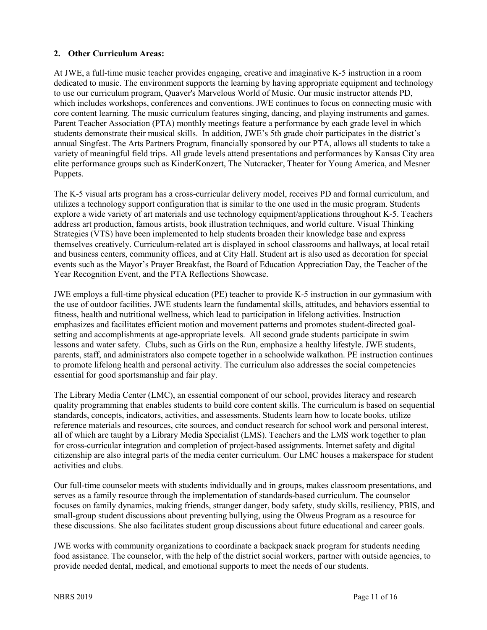## **2. Other Curriculum Areas:**

At JWE, a full-time music teacher provides engaging, creative and imaginative K-5 instruction in a room dedicated to music. The environment supports the learning by having appropriate equipment and technology to use our curriculum program, Quaver's Marvelous World of Music. Our music instructor attends PD, which includes workshops, conferences and conventions. JWE continues to focus on connecting music with core content learning. The music curriculum features singing, dancing, and playing instruments and games. Parent Teacher Association (PTA) monthly meetings feature a performance by each grade level in which students demonstrate their musical skills. In addition, JWE's 5th grade choir participates in the district's annual Singfest. The Arts Partners Program, financially sponsored by our PTA, allows all students to take a variety of meaningful field trips. All grade levels attend presentations and performances by Kansas City area elite performance groups such as KinderKonzert, The Nutcracker, Theater for Young America, and Mesner Puppets.

The K-5 visual arts program has a cross-curricular delivery model, receives PD and formal curriculum, and utilizes a technology support configuration that is similar to the one used in the music program. Students explore a wide variety of art materials and use technology equipment/applications throughout K-5. Teachers address art production, famous artists, book illustration techniques, and world culture. Visual Thinking Strategies (VTS) have been implemented to help students broaden their knowledge base and express themselves creatively. Curriculum-related art is displayed in school classrooms and hallways, at local retail and business centers, community offices, and at City Hall. Student art is also used as decoration for special events such as the Mayor's Prayer Breakfast, the Board of Education Appreciation Day, the Teacher of the Year Recognition Event, and the PTA Reflections Showcase.

JWE employs a full-time physical education (PE) teacher to provide K-5 instruction in our gymnasium with the use of outdoor facilities. JWE students learn the fundamental skills, attitudes, and behaviors essential to fitness, health and nutritional wellness, which lead to participation in lifelong activities. Instruction emphasizes and facilitates efficient motion and movement patterns and promotes student-directed goalsetting and accomplishments at age-appropriate levels. All second grade students participate in swim lessons and water safety. Clubs, such as Girls on the Run, emphasize a healthy lifestyle. JWE students, parents, staff, and administrators also compete together in a schoolwide walkathon. PE instruction continues to promote lifelong health and personal activity. The curriculum also addresses the social competencies essential for good sportsmanship and fair play.

The Library Media Center (LMC), an essential component of our school, provides literacy and research quality programming that enables students to build core content skills. The curriculum is based on sequential standards, concepts, indicators, activities, and assessments. Students learn how to locate books, utilize reference materials and resources, cite sources, and conduct research for school work and personal interest, all of which are taught by a Library Media Specialist (LMS). Teachers and the LMS work together to plan for cross-curricular integration and completion of project-based assignments. Internet safety and digital citizenship are also integral parts of the media center curriculum. Our LMC houses a makerspace for student activities and clubs.

Our full-time counselor meets with students individually and in groups, makes classroom presentations, and serves as a family resource through the implementation of standards-based curriculum. The counselor focuses on family dynamics, making friends, stranger danger, body safety, study skills, resiliency, PBIS, and small-group student discussions about preventing bullying, using the Olweus Program as a resource for these discussions. She also facilitates student group discussions about future educational and career goals.

JWE works with community organizations to coordinate a backpack snack program for students needing food assistance. The counselor, with the help of the district social workers, partner with outside agencies, to provide needed dental, medical, and emotional supports to meet the needs of our students.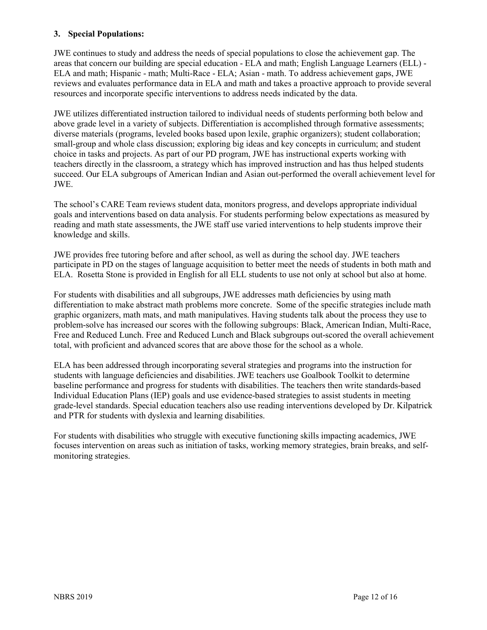#### **3. Special Populations:**

JWE continues to study and address the needs of special populations to close the achievement gap. The areas that concern our building are special education - ELA and math; English Language Learners (ELL) - ELA and math; Hispanic - math; Multi-Race - ELA; Asian - math. To address achievement gaps, JWE reviews and evaluates performance data in ELA and math and takes a proactive approach to provide several resources and incorporate specific interventions to address needs indicated by the data.

JWE utilizes differentiated instruction tailored to individual needs of students performing both below and above grade level in a variety of subjects. Differentiation is accomplished through formative assessments; diverse materials (programs, leveled books based upon lexile, graphic organizers); student collaboration; small-group and whole class discussion; exploring big ideas and key concepts in curriculum; and student choice in tasks and projects. As part of our PD program, JWE has instructional experts working with teachers directly in the classroom, a strategy which has improved instruction and has thus helped students succeed. Our ELA subgroups of American Indian and Asian out-performed the overall achievement level for JWE.

The school's CARE Team reviews student data, monitors progress, and develops appropriate individual goals and interventions based on data analysis. For students performing below expectations as measured by reading and math state assessments, the JWE staff use varied interventions to help students improve their knowledge and skills.

JWE provides free tutoring before and after school, as well as during the school day. JWE teachers participate in PD on the stages of language acquisition to better meet the needs of students in both math and ELA. Rosetta Stone is provided in English for all ELL students to use not only at school but also at home.

For students with disabilities and all subgroups, JWE addresses math deficiencies by using math differentiation to make abstract math problems more concrete. Some of the specific strategies include math graphic organizers, math mats, and math manipulatives. Having students talk about the process they use to problem-solve has increased our scores with the following subgroups: Black, American Indian, Multi-Race, Free and Reduced Lunch. Free and Reduced Lunch and Black subgroups out-scored the overall achievement total, with proficient and advanced scores that are above those for the school as a whole.

ELA has been addressed through incorporating several strategies and programs into the instruction for students with language deficiencies and disabilities. JWE teachers use Goalbook Toolkit to determine baseline performance and progress for students with disabilities. The teachers then write standards-based Individual Education Plans (IEP) goals and use evidence-based strategies to assist students in meeting grade-level standards. Special education teachers also use reading interventions developed by Dr. Kilpatrick and PTR for students with dyslexia and learning disabilities.

For students with disabilities who struggle with executive functioning skills impacting academics, JWE focuses intervention on areas such as initiation of tasks, working memory strategies, brain breaks, and selfmonitoring strategies.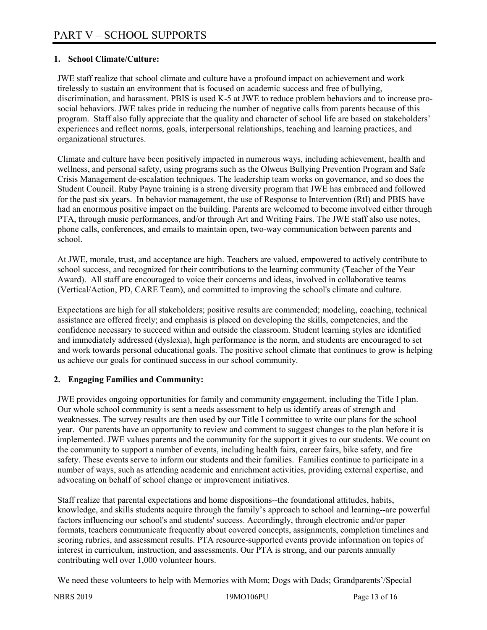# **1. School Climate/Culture:**

JWE staff realize that school climate and culture have a profound impact on achievement and work tirelessly to sustain an environment that is focused on academic success and free of bullying, discrimination, and harassment. PBIS is used K-5 at JWE to reduce problem behaviors and to increase prosocial behaviors. JWE takes pride in reducing the number of negative calls from parents because of this program. Staff also fully appreciate that the quality and character of school life are based on stakeholders' experiences and reflect norms, goals, interpersonal relationships, teaching and learning practices, and organizational structures.

Climate and culture have been positively impacted in numerous ways, including achievement, health and wellness, and personal safety, using programs such as the Olweus Bullying Prevention Program and Safe Crisis Management de-escalation techniques. The leadership team works on governance, and so does the Student Council. Ruby Payne training is a strong diversity program that JWE has embraced and followed for the past six years. In behavior management, the use of Response to Intervention (RtI) and PBIS have had an enormous positive impact on the building. Parents are welcomed to become involved either through PTA, through music performances, and/or through Art and Writing Fairs. The JWE staff also use notes, phone calls, conferences, and emails to maintain open, two-way communication between parents and school.

At JWE, morale, trust, and acceptance are high. Teachers are valued, empowered to actively contribute to school success, and recognized for their contributions to the learning community (Teacher of the Year Award). All staff are encouraged to voice their concerns and ideas, involved in collaborative teams (Vertical/Action, PD, CARE Team), and committed to improving the school's climate and culture.

Expectations are high for all stakeholders; positive results are commended; modeling, coaching, technical assistance are offered freely; and emphasis is placed on developing the skills, competencies, and the confidence necessary to succeed within and outside the classroom. Student learning styles are identified and immediately addressed (dyslexia), high performance is the norm, and students are encouraged to set and work towards personal educational goals. The positive school climate that continues to grow is helping us achieve our goals for continued success in our school community.

# **2. Engaging Families and Community:**

JWE provides ongoing opportunities for family and community engagement, including the Title I plan. Our whole school community is sent a needs assessment to help us identify areas of strength and weaknesses. The survey results are then used by our Title I committee to write our plans for the school year. Our parents have an opportunity to review and comment to suggest changes to the plan before it is implemented. JWE values parents and the community for the support it gives to our students. We count on the community to support a number of events, including health fairs, career fairs, bike safety, and fire safety. These events serve to inform our students and their families. Families continue to participate in a number of ways, such as attending academic and enrichment activities, providing external expertise, and advocating on behalf of school change or improvement initiatives.

Staff realize that parental expectations and home dispositions--the foundational attitudes, habits, knowledge, and skills students acquire through the family's approach to school and learning--are powerful factors influencing our school's and students' success. Accordingly, through electronic and/or paper formats, teachers communicate frequently about covered concepts, assignments, completion timelines and scoring rubrics, and assessment results. PTA resource-supported events provide information on topics of interest in curriculum, instruction, and assessments. Our PTA is strong, and our parents annually contributing well over 1,000 volunteer hours.

We need these volunteers to help with Memories with Mom; Dogs with Dads; Grandparents'/Special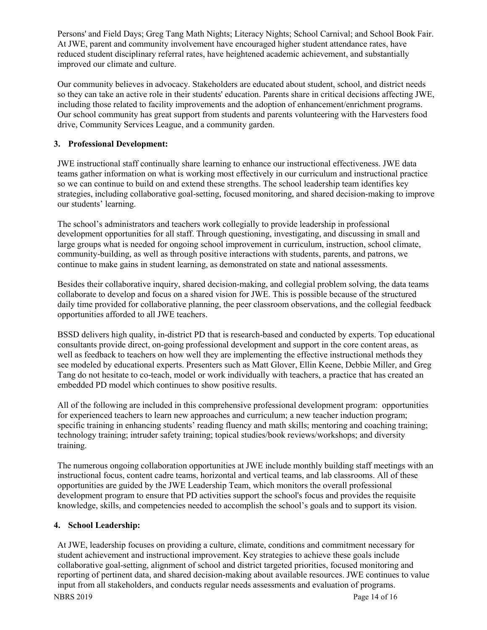Persons' and Field Days; Greg Tang Math Nights; Literacy Nights; School Carnival; and School Book Fair. At JWE, parent and community involvement have encouraged higher student attendance rates, have reduced student disciplinary referral rates, have heightened academic achievement, and substantially improved our climate and culture.

Our community believes in advocacy. Stakeholders are educated about student, school, and district needs so they can take an active role in their students' education. Parents share in critical decisions affecting JWE, including those related to facility improvements and the adoption of enhancement/enrichment programs. Our school community has great support from students and parents volunteering with the Harvesters food drive, Community Services League, and a community garden.

# **3. Professional Development:**

JWE instructional staff continually share learning to enhance our instructional effectiveness. JWE data teams gather information on what is working most effectively in our curriculum and instructional practice so we can continue to build on and extend these strengths. The school leadership team identifies key strategies, including collaborative goal-setting, focused monitoring, and shared decision-making to improve our students' learning.

The school's administrators and teachers work collegially to provide leadership in professional development opportunities for all staff. Through questioning, investigating, and discussing in small and large groups what is needed for ongoing school improvement in curriculum, instruction, school climate, community-building, as well as through positive interactions with students, parents, and patrons, we continue to make gains in student learning, as demonstrated on state and national assessments.

Besides their collaborative inquiry, shared decision-making, and collegial problem solving, the data teams collaborate to develop and focus on a shared vision for JWE. This is possible because of the structured daily time provided for collaborative planning, the peer classroom observations, and the collegial feedback opportunities afforded to all JWE teachers.

BSSD delivers high quality, in-district PD that is research-based and conducted by experts. Top educational consultants provide direct, on-going professional development and support in the core content areas, as well as feedback to teachers on how well they are implementing the effective instructional methods they see modeled by educational experts. Presenters such as Matt Glover, Ellin Keene, Debbie Miller, and Greg Tang do not hesitate to co-teach, model or work individually with teachers, a practice that has created an embedded PD model which continues to show positive results.

All of the following are included in this comprehensive professional development program: opportunities for experienced teachers to learn new approaches and curriculum; a new teacher induction program; specific training in enhancing students' reading fluency and math skills; mentoring and coaching training; technology training; intruder safety training; topical studies/book reviews/workshops; and diversity training.

The numerous ongoing collaboration opportunities at JWE include monthly building staff meetings with an instructional focus, content cadre teams, horizontal and vertical teams, and lab classrooms. All of these opportunities are guided by the JWE Leadership Team, which monitors the overall professional development program to ensure that PD activities support the school's focus and provides the requisite knowledge, skills, and competencies needed to accomplish the school's goals and to support its vision.

# **4. School Leadership:**

At JWE, leadership focuses on providing a culture, climate, conditions and commitment necessary for student achievement and instructional improvement. Key strategies to achieve these goals include collaborative goal-setting, alignment of school and district targeted priorities, focused monitoring and reporting of pertinent data, and shared decision-making about available resources. JWE continues to value input from all stakeholders, and conducts regular needs assessments and evaluation of programs.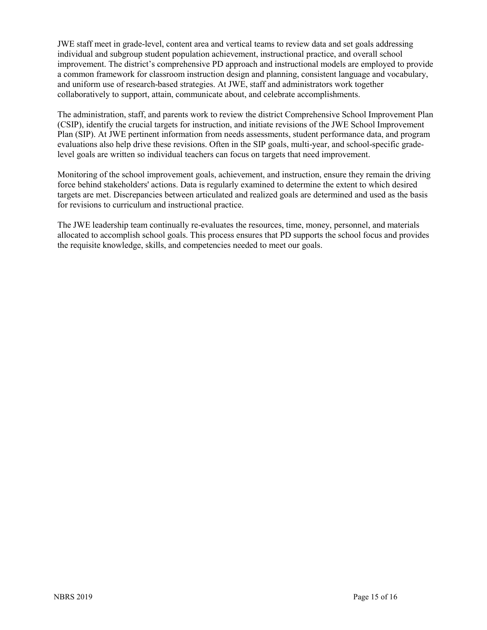JWE staff meet in grade-level, content area and vertical teams to review data and set goals addressing individual and subgroup student population achievement, instructional practice, and overall school improvement. The district's comprehensive PD approach and instructional models are employed to provide a common framework for classroom instruction design and planning, consistent language and vocabulary, and uniform use of research-based strategies. At JWE, staff and administrators work together collaboratively to support, attain, communicate about, and celebrate accomplishments.

The administration, staff, and parents work to review the district Comprehensive School Improvement Plan (CSIP), identify the crucial targets for instruction, and initiate revisions of the JWE School Improvement Plan (SIP). At JWE pertinent information from needs assessments, student performance data, and program evaluations also help drive these revisions. Often in the SIP goals, multi-year, and school-specific gradelevel goals are written so individual teachers can focus on targets that need improvement.

Monitoring of the school improvement goals, achievement, and instruction, ensure they remain the driving force behind stakeholders' actions. Data is regularly examined to determine the extent to which desired targets are met. Discrepancies between articulated and realized goals are determined and used as the basis for revisions to curriculum and instructional practice.

The JWE leadership team continually re-evaluates the resources, time, money, personnel, and materials allocated to accomplish school goals. This process ensures that PD supports the school focus and provides the requisite knowledge, skills, and competencies needed to meet our goals.